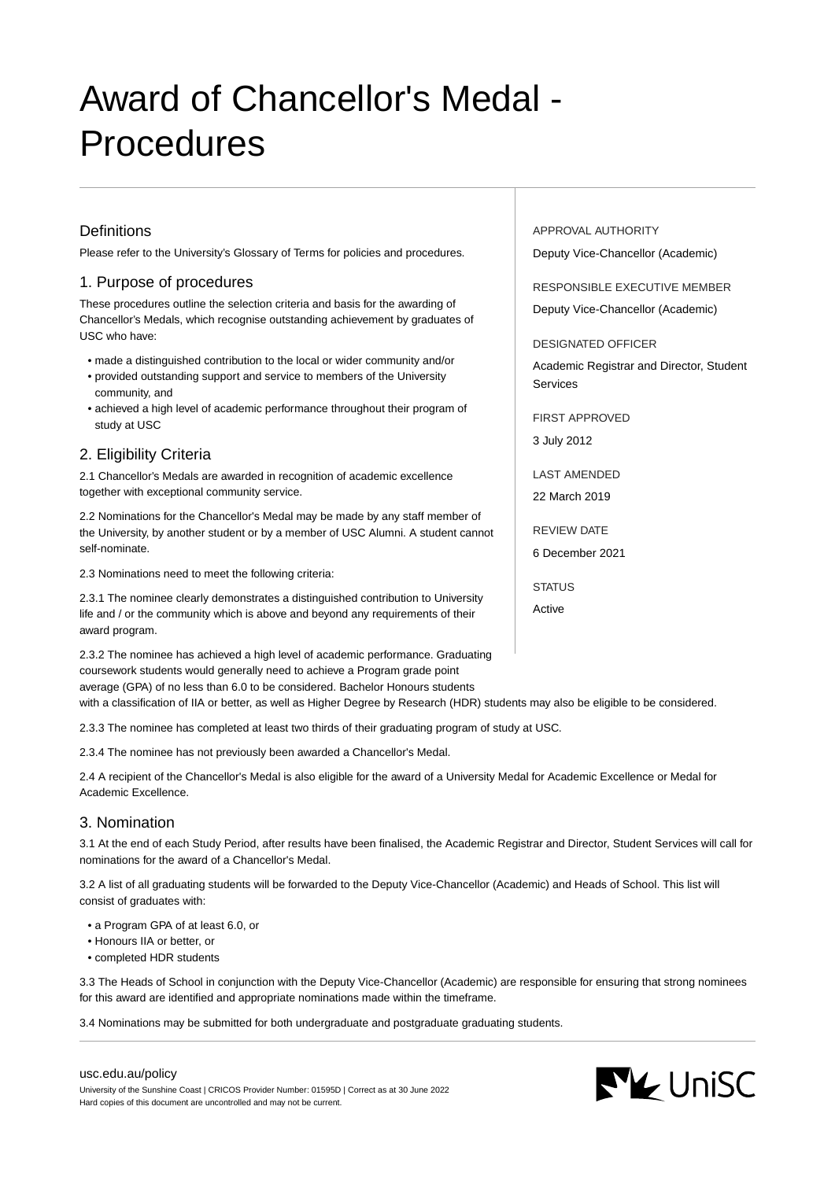# Award of Chancellor's Medal - Procedures

## **Definitions**

Please refer to the University's Glossary of Terms for policies and procedures.

## 1. Purpose of procedures

These procedures outline the selection criteria and basis for the awarding of Chancellor's Medals, which recognise outstanding achievement by graduates of USC who have:

- made a distinguished contribution to the local or wider community and/or
- provided outstanding support and service to members of the University community, and
- achieved a high level of academic performance throughout their program of study at USC

## 2. Eligibility Criteria

2.1 Chancellor's Medals are awarded in recognition of academic excellence together with exceptional community service.

2.2 Nominations for the Chancellor's Medal may be made by any staff member of the University, by another student or by a member of USC Alumni. A student cannot self-nominate.

2.3 Nominations need to meet the following criteria:

2.3.1 The nominee clearly demonstrates a distinguished contribution to University life and / or the community which is above and beyond any requirements of their award program.

2.3.2 The nominee has achieved a high level of academic performance. Graduating coursework students would generally need to achieve a Program grade point average (GPA) of no less than 6.0 to be considered. Bachelor Honours students

with a classification of IIA or better, as well as Higher Degree by Research (HDR) students may also be eligible to be considered.

2.3.3 The nominee has completed at least two thirds of their graduating program of study at USC.

2.3.4 The nominee has not previously been awarded a Chancellor's Medal.

2.4 A recipient of the Chancellor's Medal is also eligible for the award of a University Medal for Academic Excellence or Medal for Academic Excellence.

### 3. Nomination

3.1 At the end of each Study Period, after results have been finalised, the Academic Registrar and Director, Student Services will call for nominations for the award of a Chancellor's Medal.

3.2 A list of all graduating students will be forwarded to the Deputy Vice-Chancellor (Academic) and Heads of School. This list will consist of graduates with:

- a Program GPA of at least 6.0, or
- Honours IIA or better, or
- completed HDR students

3.3 The Heads of School in conjunction with the Deputy Vice-Chancellor (Academic) are responsible for ensuring that strong nominees for this award are identified and appropriate nominations made within the timeframe.

3.4 Nominations may be submitted for both undergraduate and postgraduate graduating students.

APPROVAL AUTHORITY Deputy Vice-Chancellor (Academic)

RESPONSIBLE EXECUTIVE MEMBER

Deputy Vice-Chancellor (Academic)

DESIGNATED OFFICER

Academic Registrar and Director, Student Services

FIRST APPROVED

3 July 2012

LAST AMENDED

22 March 2019

REVIEW DATE

6 December 2021

**STATUS** 

Active